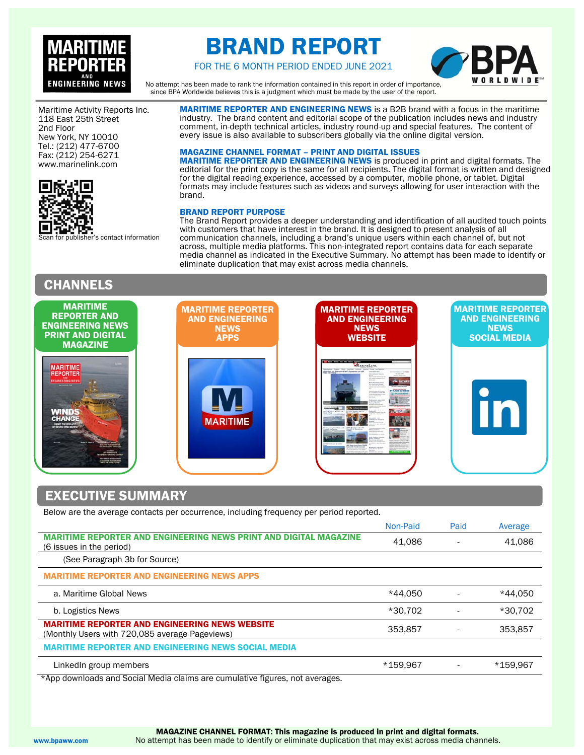

# BRAND REPORT



FOR THE 6 MONTH PERIOD ENDED JUNE 2021

No attempt has been made to rank the information contained in this report in order of importance, since BPA Worldwide believes this is a judgment which must be made by the user of the report.

Maritime Activity Reports Inc. 118 East 25th Street 2nd Floor New York, NY 10010 Tel.: (212) 477-6700 Fax: (212) 254-6271 www.marinelink.com



's contact information

# **CHANNELS**

every issue is also available to subscribers globally via the online digital version. MAGAZINE CHANNEL FORMAT – PRINT AND DIGITAL ISSUES MARITIME REPORTER AND ENGINEERING NEWS is produced in print and digital formats. The editorial for the print copy is the same for all recipients. The digital format is written and designed for the digital reading experience, accessed by a computer, mobile phone, or tablet. Digital formats may include features such as videos and surveys allowing for user interaction with the

MARITIME REPORTER AND ENGINEERING NEWS is a B2B brand with a focus in the maritime industry. The brand content and editorial scope of the publication includes news and industry comment, in-depth technical articles, industry round-up and special features. The content of

### BRAND REPORT PURPOSE

brand.

The Brand Report provides a deeper understanding and identification of all audited touch points with customers that have interest in the brand. It is designed to present analysis of all communication channels, including a brand's unique users within each channel of, but not across, multiple media platforms. This non-integrated report contains data for each separate media channel as indicated in the Executive Summary. No attempt has been made to identify or eliminate duplication that may exist across media channels.

| <b>MARITIME</b><br><b>REPORTER AND</b><br><b>ENGINEERING NEWS</b><br><b>PRINT AND DIGITAL</b>                    | <b>MARITIME REPORTER</b><br><b>AND ENGINEERING</b><br><b>NEWS</b><br><b>APPS</b> | <b>MARITIME REPORTER</b><br><b>AND ENGINEERING</b><br><b>NEWS</b><br><b>WEBSITE</b>                                         | <b>MARITIME REPORTER</b><br><b>AND ENGINEERING</b><br><b>NEWS</b><br><b>SOCIAL MEDIA</b> |
|------------------------------------------------------------------------------------------------------------------|----------------------------------------------------------------------------------|-----------------------------------------------------------------------------------------------------------------------------|------------------------------------------------------------------------------------------|
| <b>MAGAZINE</b><br><b>MARITIME</b><br><b>REPORTER</b><br><b>ENGINEERING NEWS</b><br><b>WINDS</b><br><b>CHANG</b> | <b>MARITIME</b>                                                                  | ______<br><b>MARINELINK</b><br><b>Suffronto Automotive AWT Systems on A</b><br><b>PUDURE</b><br><b>ETV</b><br>and Model-Box |                                                                                          |
| <b>EXECUTIVE SUMMARY</b>                                                                                         |                                                                                  |                                                                                                                             |                                                                                          |

Below are the average contacts per occurrence, including frequency per period reported.

|                                                                                                         | Non-Paid | Paid | Average  |
|---------------------------------------------------------------------------------------------------------|----------|------|----------|
| <b>MARITIME REPORTER AND ENGINEERING NEWS PRINT AND DIGITAL MAGAZINE</b><br>(6 issues in the period)    | 41.086   |      | 41,086   |
| (See Paragraph 3b for Source)                                                                           |          |      |          |
| <b>MARITIME REPORTER AND ENGINEERING NEWS APPS</b>                                                      |          |      |          |
| a. Maritime Global News                                                                                 | *44,050  |      | *44.050  |
| b. Logistics News                                                                                       | *30.702  |      | *30.702  |
| <b>MARITIME REPORTER AND ENGINEERING NEWS WEBSITE</b><br>(Monthly Users with 720,085 average Pageviews) | 353.857  |      | 353.857  |
| <b>MARITIME REPORTER AND ENGINEERING NEWS SOCIAL MEDIA</b>                                              |          |      |          |
| LinkedIn group members                                                                                  | *159.967 |      | *159.967 |
| than developed and Conjel Media eleven are supplieding fixures, not avainted                            |          |      |          |

\*App downloads and Social Media claims are cumulative figures, not averages.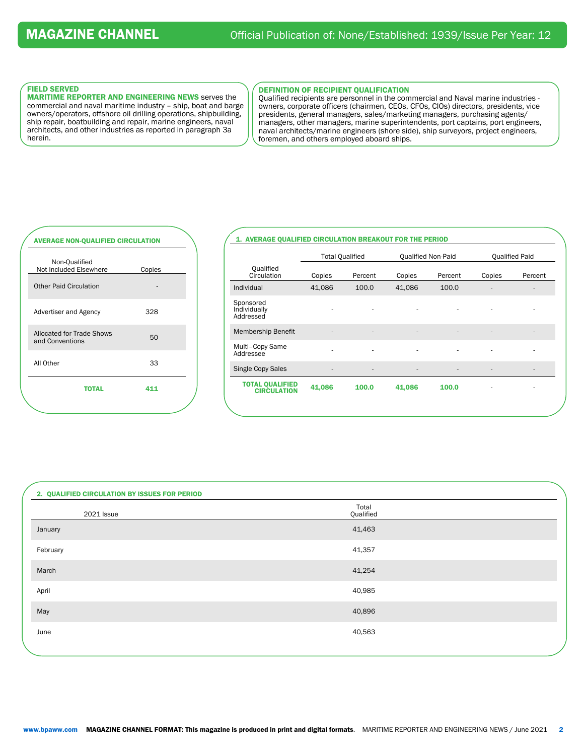## FIELD SERVED

MARITIME REPORTER AND ENGINEERING NEWS serves the commercial and naval maritime industry – ship, boat and barge owners/operators, offshore oil drilling operations, shipbuilding, ship repair, boatbuilding and repair, marine engineers, naval architects, and other industries as reported in paragraph 3a herein.

### DEFINITION OF RECIPIENT QUALIFICATION

Qualified recipients are personnel in the commercial and Naval marine industries owners, corporate officers (chairmen, CEOs, CFOs, CIOs) directors, presidents, vice presidents, general managers, sales/marketing managers, purchasing agents/ managers, other managers, marine superintendents, port captains, port engineers, naval architects/marine engineers (shore side), ship surveyors, project engineers, foremen, and others employed aboard ships.

# AVERAGE NON-QUALIFIED CIRCULATION Non-Qualified Not Included Elsewhere Copies Other Paid Circulation

Advertiser and Agency 328

Allocated for Trade Shows<br>and Conventions 50

All Other 33

TOTAL 411

Allocated for Trade Shows

# 1. AVERAGE QUALIFIED CIRCULATION BREAKOUT FOR THE PERIOD

|                                              | <b>Total Qualified</b> |                          | Qualified Non-Paid       |         |        | <b>Qualified Paid</b>    |
|----------------------------------------------|------------------------|--------------------------|--------------------------|---------|--------|--------------------------|
| Qualified<br>Circulation                     | Copies                 | Percent                  | Copies                   | Percent | Copies | Percent                  |
| Individual                                   | 41,086                 | 100.0                    | 41,086                   | 100.0   |        |                          |
| Sponsored<br>Individually<br>Addressed       |                        |                          |                          |         |        |                          |
| <b>Membership Benefit</b>                    | ٠                      | $\overline{\phantom{a}}$ | $\overline{\phantom{a}}$ | ٠       |        | $\overline{\phantom{a}}$ |
| Multi-Copy Same<br>Addressee                 | ٠                      | ٠                        |                          |         |        |                          |
| Single Copy Sales                            | ۰                      | ۰                        |                          |         | ۰      | ٠                        |
| <b>TOTAL QUALIFIED</b><br><b>CIRCULATION</b> | 41,086                 | 100.0                    | 41,086                   | 100.0   | ٠      | ۰                        |
|                                              |                        |                          |                          |         |        |                          |

| 2. QUALIFIED CIRCULATION BY ISSUES FOR PERIOD |                    |  |
|-----------------------------------------------|--------------------|--|
| 2021 Issue                                    | Total<br>Qualified |  |
| January                                       | 41,463             |  |
| February                                      | 41,357             |  |
| March                                         | 41,254             |  |
| April                                         | 40,985             |  |
| May                                           | 40,896             |  |
| June                                          | 40,563             |  |
|                                               |                    |  |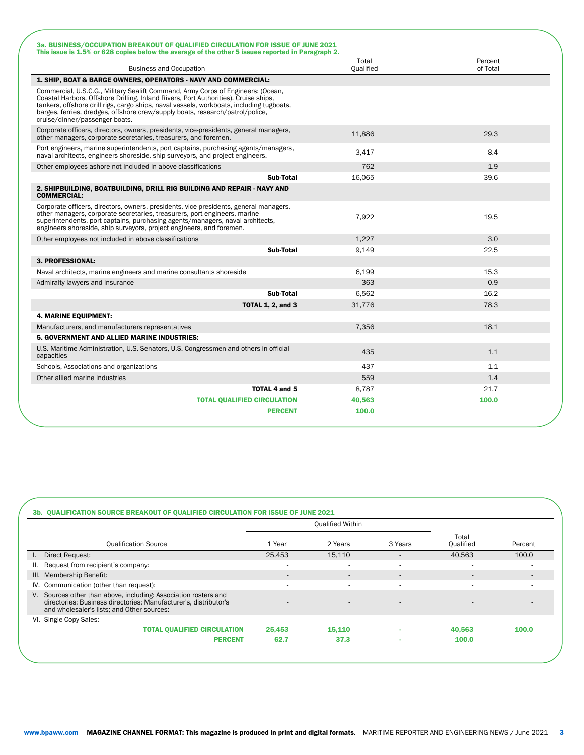| 3a. BUSINESS/OCCUPATION BREAKOUT OF OUALIFIED CIRCULATION FOR ISSUE OF JUNE 2021<br>This issue is 1.5% or 628 copies below the average of the other 5 issues reported in Paragraph 2.                                                                                                                                                                                                  |                    |                     |
|----------------------------------------------------------------------------------------------------------------------------------------------------------------------------------------------------------------------------------------------------------------------------------------------------------------------------------------------------------------------------------------|--------------------|---------------------|
| <b>Business and Occupation</b>                                                                                                                                                                                                                                                                                                                                                         | Total<br>Oualified | Percent<br>of Total |
| 1. SHIP, BOAT & BARGE OWNERS, OPERATORS - NAVY AND COMMERCIAL:                                                                                                                                                                                                                                                                                                                         |                    |                     |
| Commercial, U.S.C.G., Military Sealift Command, Army Corps of Engineers: (Ocean,<br>Coastal Harbors, Offshore Drilling, Inland Rivers, Port Authorities). Cruise ships,<br>tankers, offshore drill rigs, cargo ships, naval vessels, workboats, including tugboats,<br>barges, ferries, dredges, offshore crew/supply boats, research/patrol/police,<br>cruise/dinner/passenger boats. |                    |                     |
| Corporate officers, directors, owners, presidents, vice-presidents, general managers,<br>other managers, corporate secretaries, treasurers, and foremen.                                                                                                                                                                                                                               | 11,886             | 29.3                |
| Port engineers, marine superintendents, port captains, purchasing agents/managers,<br>naval architects, engineers shoreside, ship surveyors, and project engineers.                                                                                                                                                                                                                    | 3.417              | 8.4                 |
| Other employees ashore not included in above classifications                                                                                                                                                                                                                                                                                                                           | 762                | 1.9                 |
| Sub-Total                                                                                                                                                                                                                                                                                                                                                                              | 16,065             | 39.6                |
| 2. SHIPBUILDING, BOATBUILDING, DRILL RIG BUILDING AND REPAIR - NAVY AND<br><b>COMMERCIAL:</b>                                                                                                                                                                                                                                                                                          |                    |                     |
| Corporate officers, directors, owners, presidents, vice presidents, general managers,<br>other managers, corporate secretaries, treasurers, port engineers, marine<br>superintendents, port captains, purchasing agents/managers, naval architects,<br>engineers shoreside, ship surveyors, project engineers, and foremen.                                                            | 7,922              | 19.5                |
| Other employees not included in above classifications                                                                                                                                                                                                                                                                                                                                  | 1.227              | 3.0                 |
| Sub-Total                                                                                                                                                                                                                                                                                                                                                                              | 9,149              | 22.5                |
| 3. PROFESSIONAL:                                                                                                                                                                                                                                                                                                                                                                       |                    |                     |
| Naval architects, marine engineers and marine consultants shoreside                                                                                                                                                                                                                                                                                                                    | 6,199              | 15.3                |
| Admiralty lawyers and insurance                                                                                                                                                                                                                                                                                                                                                        | 363                | 0.9                 |
| Sub-Total                                                                                                                                                                                                                                                                                                                                                                              | 6,562              | 16.2                |
| <b>TOTAL 1, 2, and 3</b>                                                                                                                                                                                                                                                                                                                                                               | 31,776             | 78.3                |
| <b>4. MARINE EQUIPMENT:</b>                                                                                                                                                                                                                                                                                                                                                            |                    |                     |
| Manufacturers, and manufacturers representatives                                                                                                                                                                                                                                                                                                                                       | 7,356              | 18.1                |
| 5. GOVERNMENT AND ALLIED MARINE INDUSTRIES:                                                                                                                                                                                                                                                                                                                                            |                    |                     |
| U.S. Maritime Administration, U.S. Senators, U.S. Congressmen and others in official<br>capacities                                                                                                                                                                                                                                                                                     | 435                | 1.1                 |
| Schools, Associations and organizations                                                                                                                                                                                                                                                                                                                                                | 437                | 1.1                 |
| Other allied marine industries                                                                                                                                                                                                                                                                                                                                                         | 559                | 1.4                 |
| <b>TOTAL 4 and 5</b>                                                                                                                                                                                                                                                                                                                                                                   | 8,787              | 21.7                |
| <b>TOTAL QUALIFIED CIRCULATION</b>                                                                                                                                                                                                                                                                                                                                                     | 40,563             | 100.0               |
| <b>PERCENT</b>                                                                                                                                                                                                                                                                                                                                                                         | 100.0              |                     |

|                                                                                                                                                                                   |                          | <b>Qualified Within</b>  |                          |                    |         |
|-----------------------------------------------------------------------------------------------------------------------------------------------------------------------------------|--------------------------|--------------------------|--------------------------|--------------------|---------|
| <b>Qualification Source</b>                                                                                                                                                       | 1 Year                   | 2 Years                  | 3 Years                  | Total<br>Oualified | Percent |
| Direct Request:<br>L.                                                                                                                                                             | 25,453                   | 15,110                   |                          | 40,563             | 100.0   |
| Request from recipient's company:<br>ш.                                                                                                                                           | $\overline{\phantom{a}}$ | $\overline{\phantom{a}}$ | $\overline{\phantom{a}}$ | ۰                  |         |
| III. Membership Benefit:                                                                                                                                                          | $\overline{a}$           | $\overline{\phantom{a}}$ | $\overline{\phantom{a}}$ | $\overline{a}$     |         |
| IV. Communication (other than request):                                                                                                                                           | $\overline{\phantom{a}}$ | ٠                        | $\overline{\phantom{a}}$ | ٠                  |         |
| V. Sources other than above, including: Association rosters and<br>directories; Business directories; Manufacturer's, distributor's<br>and wholesaler's lists; and Other sources: |                          |                          |                          |                    |         |
| VI. Single Copy Sales:                                                                                                                                                            | $\overline{\phantom{a}}$ |                          | $\overline{\phantom{a}}$ |                    |         |
| <b>TOTAL QUALIFIED CIRCULATION</b>                                                                                                                                                | 25,453                   | 15,110                   |                          | 40,563             | 100.0   |
| <b>PERCENT</b>                                                                                                                                                                    | 62.7                     | 37.3                     |                          | 100.0              |         |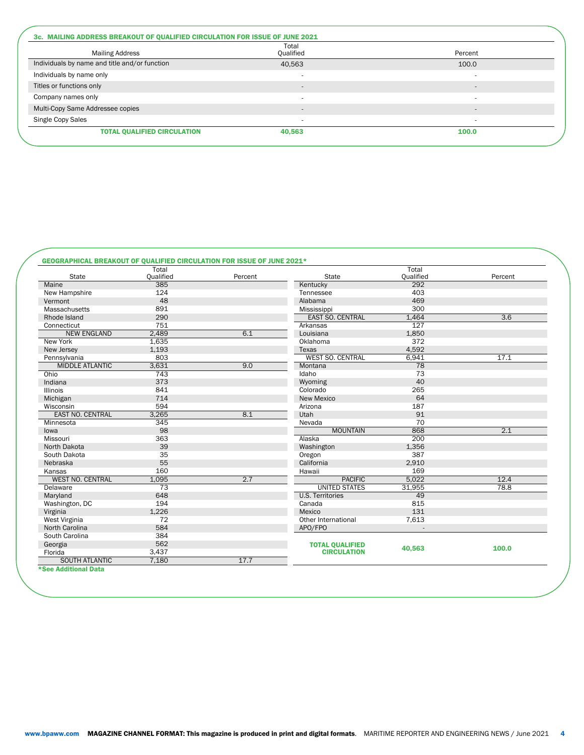| <b>Mailing Address</b>                        | Total<br>Qualified       | Percent                  |
|-----------------------------------------------|--------------------------|--------------------------|
| Individuals by name and title and/or function | 40,563                   | 100.0                    |
| Individuals by name only                      |                          |                          |
| Titles or functions only                      | $\sim$                   | $\overline{a}$           |
| Company names only                            |                          |                          |
| Multi-Copy Same Addressee copies              | $\sim$                   | $\overline{\phantom{a}}$ |
| Single Copy Sales                             | $\overline{\phantom{a}}$ | $\overline{\phantom{a}}$ |
| <b>TOTAL QUALIFIED CIRCULATION</b>            | 40,563                   | 100.0                    |

# GEOGRAPHICAL BREAKOUT OF QUALIFIED CIRCULATION FOR ISSUE OF JUNE 2021\*

|                         | Total            |         |                                              | Total            |         |
|-------------------------|------------------|---------|----------------------------------------------|------------------|---------|
| <b>State</b>            | <b>Qualified</b> | Percent | <b>State</b>                                 | <b>Qualified</b> | Percent |
| Maine                   | 385              |         | Kentucky                                     | 292              |         |
| New Hampshire           | 124              |         | Tennessee                                    | 403              |         |
| Vermont                 | 48               |         | Alabama                                      | 469              |         |
| Massachusetts           | 891              |         | Mississippi                                  | 300              |         |
| Rhode Island            | 290              |         | <b>EAST SO. CENTRAL</b>                      | 1,464            | 3.6     |
| Connecticut             | 751              |         | Arkansas                                     | 127              |         |
| <b>NEW ENGLAND</b>      | 2,489            | 6.1     | Louisiana                                    | 1,850            |         |
| New York                | 1.635            |         | Oklahoma                                     | 372              |         |
| New Jersey              | 1,193            |         | Texas                                        | 4,592            |         |
| Pennsylvania            | 803              |         | <b>WEST SO. CENTRAL</b>                      | 6,941            | 17.1    |
| <b>MIDDLE ATLANTIC</b>  | 3,631            | 9.0     | Montana                                      | 78               |         |
| Ohio                    | 743              |         | Idaho                                        | 73               |         |
| Indiana                 | 373              |         | Wyoming                                      | 40               |         |
| <b>Illinois</b>         | 841              |         | Colorado                                     | 265              |         |
| Michigan                | 714              |         | <b>New Mexico</b>                            | 64               |         |
| Wisconsin               | 594              |         | Arizona                                      | 187              |         |
| <b>EAST NO. CENTRAL</b> | 3,265            | 8.1     | Utah                                         | 91               |         |
| Minnesota               | 345              |         | Nevada                                       | 70               |         |
| lowa                    | 98               |         | <b>MOUNTAIN</b>                              | 868              | 2.1     |
| Missouri                | 363              |         | Alaska                                       | 200              |         |
| North Dakota            | 39               |         | Washington                                   | 1,356            |         |
| South Dakota            | 35               |         | Oregon                                       | 387              |         |
| Nebraska                | 55               |         | California                                   | 2,910            |         |
| Kansas                  | 160              |         | Hawaii                                       | 169              |         |
| <b>WEST NO. CENTRAL</b> | 1,095            | 2.7     | <b>PACIFIC</b>                               | 5,022            | 12.4    |
| Delaware                | $\overline{73}$  |         | <b>UNITED STATES</b>                         | 31,955           | 78.8    |
| Maryland                | 648              |         | <b>U.S. Territories</b>                      | 49               |         |
| Washington, DC          | 194              |         | Canada                                       | 815              |         |
| Virginia                | 1,226            |         | Mexico                                       | 131              |         |
| West Virginia           | 72               |         | Other International                          | 7,613            |         |
| North Carolina          | 584              |         | APO/FPO                                      |                  |         |
| South Carolina          | 384              |         |                                              |                  |         |
|                         |                  |         |                                              |                  |         |
|                         | 562              |         |                                              |                  |         |
| Georgia<br>Florida      | 3,437            |         | <b>TOTAL QUALIFIED</b><br><b>CIRCULATION</b> | 40,563           | 100.0   |

\*See Additional Data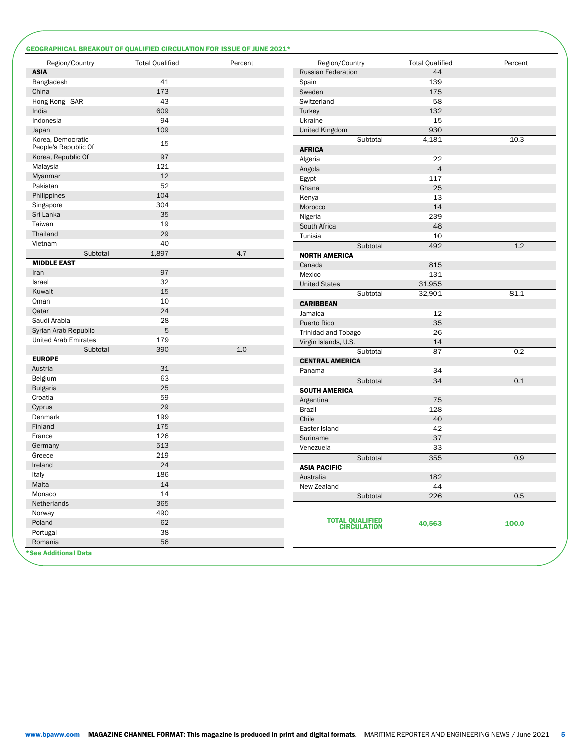### GEOGRAPHICAL BREAKOUT OF QUALIFIED CIRCULATION FOR ISSUE OF JUNE 2021\*

| Region/Country                            | <b>Total Qualified</b> | Percent | Region/Country                         | <b>Total Qualified</b> | Percent |
|-------------------------------------------|------------------------|---------|----------------------------------------|------------------------|---------|
| <b>ASIA</b>                               |                        |         | <b>Russian Federation</b>              | 44                     |         |
| Bangladesh                                | 41                     |         | Spain                                  | 139                    |         |
| China                                     | 173                    |         | Sweden                                 | 175                    |         |
| Hong Kong - SAR                           | 43                     |         | Switzerland                            | 58                     |         |
| India                                     | 609                    |         | Turkey                                 | 132                    |         |
| Indonesia                                 | 94                     |         | Ukraine                                | 15                     |         |
| Japan                                     | 109                    |         | United Kingdom                         | 930                    |         |
| Korea, Democratic<br>People's Republic Of | 15                     |         | Subtotal<br><b>AFRICA</b>              | 4,181                  | 10.3    |
| Korea, Republic Of                        | 97                     |         | Algeria                                | 22                     |         |
| Malaysia                                  | 121                    |         | Angola                                 | $\overline{4}$         |         |
| Myanmar                                   | 12                     |         | Egypt                                  | 117                    |         |
| Pakistan                                  | 52                     |         | Ghana                                  | 25                     |         |
| Philippines                               | 104                    |         | Kenya                                  | 13                     |         |
| Singapore                                 | 304                    |         | Morocco                                | 14                     |         |
| Sri Lanka                                 | 35                     |         | Nigeria                                | 239                    |         |
| Taiwan                                    | 19                     |         | South Africa                           | 48                     |         |
| Thailand                                  | 29                     |         |                                        |                        |         |
| Vietnam                                   | 40                     |         | Tunisia                                | 10                     |         |
| Subtotal                                  | 1,897                  | 4.7     | Subtotal                               | 492                    | 1.2     |
| <b>MIDDLE EAST</b>                        |                        |         | <b>NORTH AMERICA</b>                   |                        |         |
| Iran                                      | 97                     |         | Canada                                 | 815                    |         |
| Israel                                    | 32                     |         | Mexico                                 | 131                    |         |
| Kuwait                                    | 15                     |         | <b>United States</b>                   | 31,955                 |         |
| Oman                                      | 10                     |         | Subtotal                               | 32,901                 | 81.1    |
| Qatar                                     | 24                     |         | <b>CARIBBEAN</b>                       |                        |         |
| Saudi Arabia                              | 28                     |         | Jamaica                                | 12                     |         |
| Syrian Arab Republic                      | $\mathbf 5$            |         | Puerto Rico                            | 35                     |         |
|                                           |                        |         | Trinidad and Tobago                    | 26                     |         |
| <b>United Arab Emirates</b>               | 179                    | 1.0     | Virgin Islands, U.S.                   | 14                     |         |
| Subtotal                                  | 390                    |         | Subtotal                               | 87                     | 0.2     |
| <b>EUROPE</b>                             |                        |         | <b>CENTRAL AMERICA</b>                 |                        |         |
| Austria                                   | 31                     |         | Panama                                 | 34                     |         |
| Belgium                                   | 63<br>25               |         | Subtotal                               | 34                     | 0.1     |
| <b>Bulgaria</b>                           |                        |         | <b>SOUTH AMERICA</b>                   |                        |         |
| Croatia                                   | 59                     |         | Argentina                              | 75                     |         |
| Cyprus                                    | 29                     |         | <b>Brazil</b>                          | 128                    |         |
| Denmark                                   | 199                    |         | Chile                                  | 40                     |         |
| Finland                                   | 175                    |         | Easter Island                          | 42                     |         |
| France                                    | 126                    |         | Suriname                               | 37                     |         |
| Germany                                   | 513                    |         | Venezuela                              | 33                     |         |
| Greece                                    | 219                    |         | Subtotal                               | 355                    | 0.9     |
| Ireland                                   | 24                     |         | <b>ASIA PACIFIC</b>                    |                        |         |
| Italy                                     | 186                    |         | Australia                              | 182                    |         |
| Malta                                     | 14                     |         | New Zealand                            | 44                     |         |
| Monaco                                    | 14                     |         | Subtotal                               | 226                    | 0.5     |
| Netherlands                               | 365                    |         |                                        |                        |         |
| Norway                                    | 490                    |         |                                        |                        |         |
| Poland                                    | 62                     |         | <b>TOTAL QUALIFIED<br/>CIRCULATION</b> | 40,563                 | 100.0   |
| Portugal                                  | 38                     |         |                                        |                        |         |
| Romania                                   | 56                     |         |                                        |                        |         |
| *See Additional Data                      |                        |         |                                        |                        |         |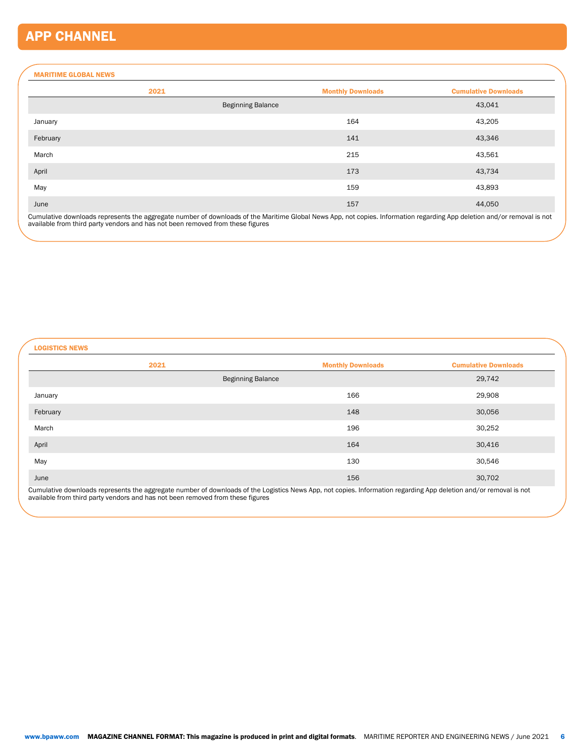# APP CHANNEL

### MARITIME GLOBAL NEWS

| 2021     |                          | <b>Monthly Downloads</b> | <b>Cumulative Downloads</b> |
|----------|--------------------------|--------------------------|-----------------------------|
|          | <b>Beginning Balance</b> |                          | 43,041                      |
| January  |                          | 164                      | 43,205                      |
| February |                          | 141                      | 43,346                      |
| March    |                          | 215                      | 43,561                      |
| April    |                          | 173                      | 43,734                      |
| May      |                          | 159                      | 43,893                      |
| June     |                          | 157                      | 44,050                      |

Cumulative downloads represents the aggregate number of downloads of the Maritime Global News App, not copies. Information regarding App deletion and/or removal is not<br>available from third party vendors and has not been re

LOGISTICS NEWS

| <b>Monthly Downloads</b> | <b>Cumulative Downloads</b> |
|--------------------------|-----------------------------|
| <b>Beginning Balance</b> | 29,742                      |
| 166                      | 29,908                      |
| 148                      | 30,056                      |
| 196                      | 30,252                      |
| 164                      | 30,416                      |
| 130                      | 30,546                      |
| 156                      | 30,702                      |
|                          |                             |

Cumulative downloads represents the aggregate number of downloads of the Logistics News App, not copies. Information regarding App deletion and/or removal is not<br>available from third party vendors and has not been removed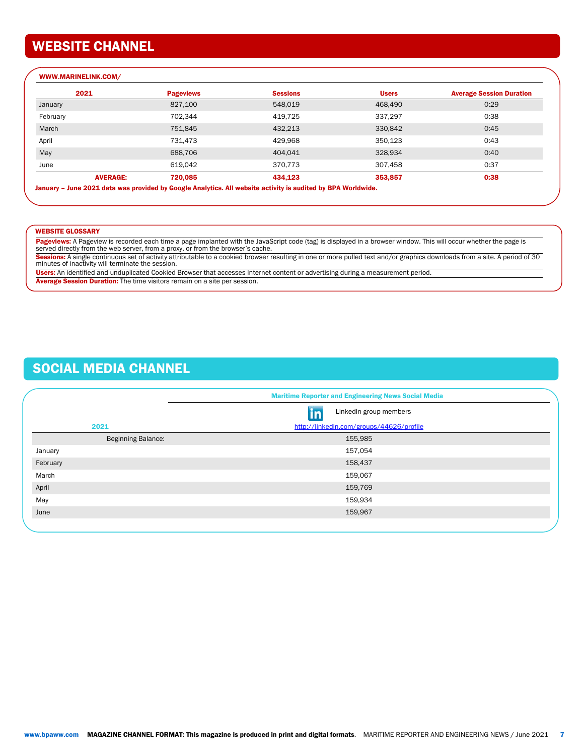# WEBSITE CHANNEL

| 2021            | <b>Pageviews</b> | <b>Sessions</b> | <b>Users</b> | <b>Average Session Duration</b> |
|-----------------|------------------|-----------------|--------------|---------------------------------|
| January         | 827,100          | 548,019         | 468,490      | 0:29                            |
| February        | 702,344          | 419,725         | 337,297      | 0:38                            |
| March           | 751,845          | 432,213         | 330,842      | 0:45                            |
| April           | 731,473          | 429,968         | 350,123      | 0:43                            |
| May             | 688,706          | 404,041         | 328,934      | 0:40                            |
| June            | 619,042          | 370.773         | 307,458      | 0:37                            |
| <b>AVERAGE:</b> | 720,085          | 434,123         | 353,857      | 0:38                            |

#### WEBSITE GLOSSARY

Pageviews: A Pageview is recorded each time a page implanted with the JavaScript code (tag) is displayed in a browser window. This will occur whether the page is served directly from the web server, from a proxy, or from the browser's cache.

**Sessions:** A single continuous set of activity attributable to a cookied browser resulting in one or more pulled text and/or graphics downloads from a site. A period of 30<br>minutes of inactivity will terminate the session.

Users: An identified and unduplicated Cookied Browser that accesses Internet content or advertising during a measurement period.

Average Session Duration: The time visitors remain on a site per session.

# SOCIAL MEDIA CHANNEL

|                           | <b>Maritime Reporter and Engineering News Social Media</b> |  |
|---------------------------|------------------------------------------------------------|--|
|                           | LinkedIn group members<br><u>in</u>                        |  |
| 2021                      | http://linkedin.com/groups/44626/profile                   |  |
| <b>Beginning Balance:</b> | 155,985                                                    |  |
| January                   | 157,054                                                    |  |
| February                  | 158,437                                                    |  |
| March                     | 159,067                                                    |  |
| April                     | 159,769                                                    |  |
| May                       | 159,934                                                    |  |
| June                      | 159,967                                                    |  |
|                           |                                                            |  |